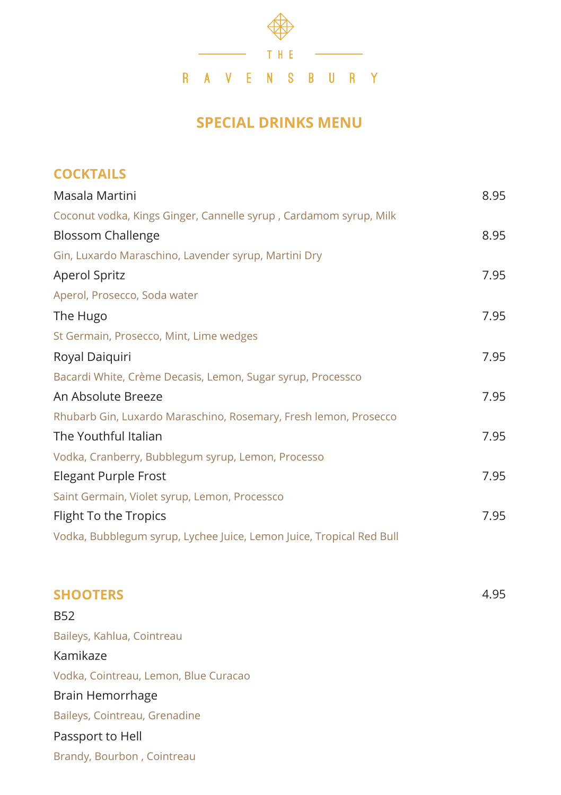

## **SPECIAL DRINKS MENU**

| <b>COCKTAILS</b>                                                                                                                                                                                                                                                                                                                                                                 |      |                                                                      |      |
|----------------------------------------------------------------------------------------------------------------------------------------------------------------------------------------------------------------------------------------------------------------------------------------------------------------------------------------------------------------------------------|------|----------------------------------------------------------------------|------|
| Masala Martini                                                                                                                                                                                                                                                                                                                                                                   | 8.95 |                                                                      |      |
| Coconut vodka, Kings Ginger, Cannelle syrup, Cardamom syrup, Milk                                                                                                                                                                                                                                                                                                                |      |                                                                      |      |
| <b>Blossom Challenge</b>                                                                                                                                                                                                                                                                                                                                                         | 8.95 |                                                                      |      |
| Gin, Luxardo Maraschino, Lavender syrup, Martini Dry                                                                                                                                                                                                                                                                                                                             |      |                                                                      |      |
| <b>Aperol Spritz</b>                                                                                                                                                                                                                                                                                                                                                             | 7.95 |                                                                      |      |
| Aperol, Prosecco, Soda water                                                                                                                                                                                                                                                                                                                                                     |      |                                                                      |      |
| The Hugo                                                                                                                                                                                                                                                                                                                                                                         | 7.95 |                                                                      |      |
| St Germain, Prosecco, Mint, Lime wedges<br>Royal Daiquiri<br>Bacardi White, Crème Decasis, Lemon, Sugar syrup, Processco<br>An Absolute Breeze<br>Rhubarb Gin, Luxardo Maraschino, Rosemary, Fresh lemon, Prosecco<br>The Youthful Italian<br>Vodka, Cranberry, Bubblegum syrup, Lemon, Processo<br><b>Elegant Purple Frost</b><br>Saint Germain, Violet syrup, Lemon, Processco |      |                                                                      |      |
|                                                                                                                                                                                                                                                                                                                                                                                  | 7.95 |                                                                      |      |
|                                                                                                                                                                                                                                                                                                                                                                                  |      |                                                                      |      |
|                                                                                                                                                                                                                                                                                                                                                                                  | 7.95 |                                                                      |      |
|                                                                                                                                                                                                                                                                                                                                                                                  |      |                                                                      |      |
|                                                                                                                                                                                                                                                                                                                                                                                  | 7.95 |                                                                      |      |
|                                                                                                                                                                                                                                                                                                                                                                                  | 7.95 |                                                                      |      |
|                                                                                                                                                                                                                                                                                                                                                                                  |      | Flight To the Tropics                                                | 7.95 |
|                                                                                                                                                                                                                                                                                                                                                                                  |      | Vodka, Bubblegum syrup, Lychee Juice, Lemon Juice, Tropical Red Bull |      |
| <b>SHOOTERS</b>                                                                                                                                                                                                                                                                                                                                                                  | 4.95 |                                                                      |      |

| B52                                   |
|---------------------------------------|
| Baileys, Kahlua, Cointreau            |
| Kamikaze                              |
| Vodka, Cointreau, Lemon, Blue Curacao |
| Brain Hemorrhage                      |
| Baileys, Cointreau, Grenadine         |
| Passport to Hell                      |
| Brandy, Bourbon, Cointreau            |
|                                       |